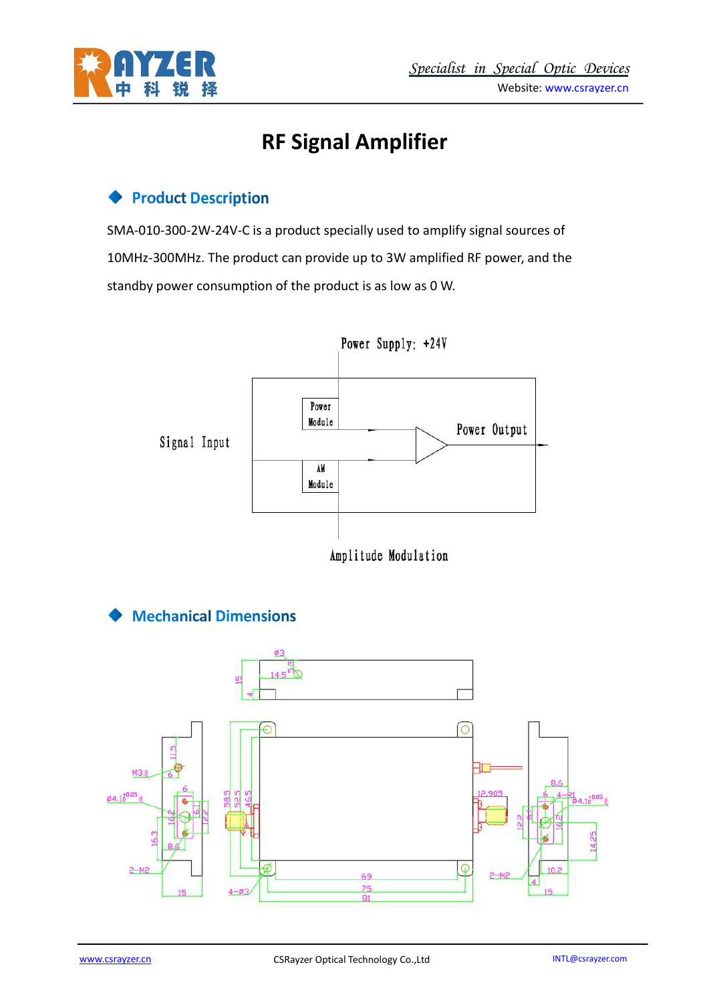

# **RF Signal Amplifier**

## **Product Description**

SMA-010-300-2W-24V-C is a product specially used to amplify signal sources of 10MHz-300MHz. The product can provide up to 3W amplified RF power, and the standby power consumption of the product is as low as 0 W.



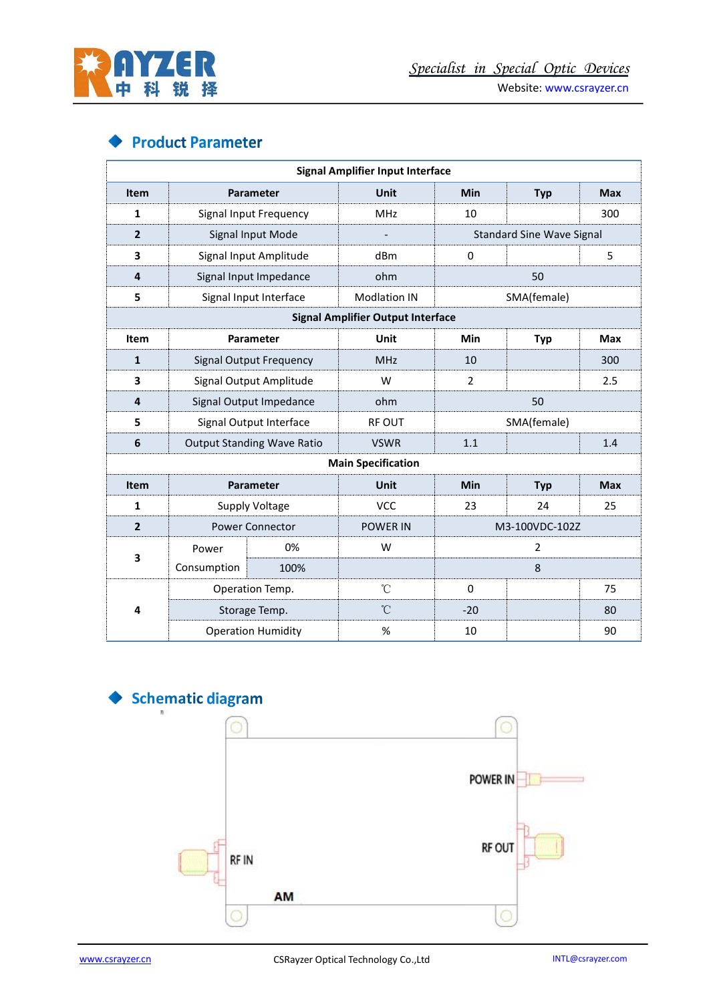

Website: [www.csrayzer.cn](http://www.csrayzer.cn)

## **Product Parameter**

|                |                                   |      | <b>Signal Amplifier Input Interface</b>  |                                  |                |            |
|----------------|-----------------------------------|------|------------------------------------------|----------------------------------|----------------|------------|
| Item           | Parameter                         |      | Unit                                     | Min                              | <b>Typ</b>     | <b>Max</b> |
| 1              | Signal Input Frequency            |      | MHz                                      | 10                               |                | 300        |
| $\mathbf{2}$   | Signal Input Mode                 |      |                                          | <b>Standard Sine Wave Signal</b> |                |            |
| 3              | Signal Input Amplitude            |      | dBm                                      | $\mathbf 0$                      |                | 5          |
| 4              | Signal Input Impedance            |      | ohm                                      | 50                               |                |            |
| 5              | Signal Input Interface            |      | <b>Modlation IN</b>                      | SMA(female)                      |                |            |
|                |                                   |      | <b>Signal Amplifier Output Interface</b> |                                  |                |            |
| Item           | Parameter                         |      | Unit                                     | Min                              | <b>Typ</b>     | <b>Max</b> |
| $\mathbf{1}$   | <b>Signal Output Frequency</b>    |      | <b>MHz</b>                               | 10                               |                | 300        |
| 3              | Signal Output Amplitude           |      | W                                        | $\overline{2}$                   |                | 2.5        |
| 4              | Signal Output Impedance           |      | ohm                                      | 50                               |                |            |
| 5              | Signal Output Interface           |      | <b>RF OUT</b>                            | SMA(female)                      |                |            |
| 6              | <b>Output Standing Wave Ratio</b> |      | <b>VSWR</b>                              | 1.1                              |                | 1.4        |
|                |                                   |      | <b>Main Specification</b>                |                                  |                |            |
| Item           | Parameter                         |      | Unit                                     | Min                              | <b>Typ</b>     | <b>Max</b> |
| 1              | Supply Voltage                    |      | <b>VCC</b>                               | 23                               | 24             | 25         |
| $\overline{2}$ | Power Connector                   |      | <b>POWER IN</b>                          | M3-100VDC-102Z                   |                |            |
| 3              | Power                             | 0%   | W                                        |                                  | $\overline{2}$ |            |
|                | Consumption                       | 100% |                                          |                                  | $\,8\,$        |            |
|                | Operation Temp.                   |      | $\rm ^{\circ}C$                          | $\mathbf 0$                      |                | 75         |
| 4              | Storage Temp.                     |      | $^\circ\!{\rm C}$                        | $-20$                            |                | 80         |
|                | <b>Operation Humidity</b>         |      | %                                        | 10                               |                | 90         |